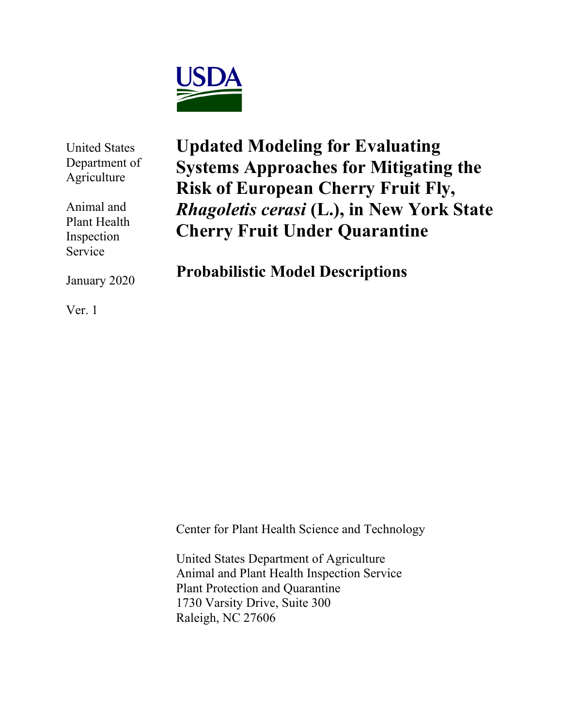

United States Department of Agriculture

Animal and Plant Health Inspection Service

January 2020

**Updated Modeling for Evaluating Systems Approaches for Mitigating the Risk of European Cherry Fruit Fly,**  *Rhagoletis cerasi* **(L.), in New York State Cherry Fruit Under Quarantine**

**Probabilistic Model Descriptions**

Ver. 1

Center for Plant Health Science and Technology

United States Department of Agriculture Animal and Plant Health Inspection Service Plant Protection and Quarantine 1730 Varsity Drive, Suite 300 Raleigh, NC 27606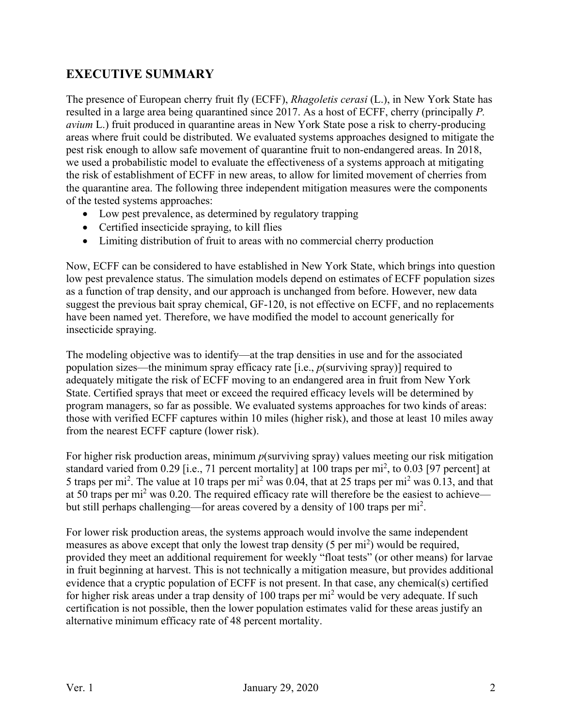# **EXECUTIVE SUMMARY**

The presence of European cherry fruit fly (ECFF), *Rhagoletis cerasi* (L.), in New York State has resulted in a large area being quarantined since 2017. As a host of ECFF, cherry (principally *P. avium* L.) fruit produced in quarantine areas in New York State pose a risk to cherry-producing areas where fruit could be distributed. We evaluated systems approaches designed to mitigate the pest risk enough to allow safe movement of quarantine fruit to non-endangered areas. In 2018, we used a probabilistic model to evaluate the effectiveness of a systems approach at mitigating the risk of establishment of ECFF in new areas, to allow for limited movement of cherries from the quarantine area. The following three independent mitigation measures were the components of the tested systems approaches:

- Low pest prevalence, as determined by regulatory trapping
- Certified insecticide spraying, to kill flies
- Limiting distribution of fruit to areas with no commercial cherry production

Now, ECFF can be considered to have established in New York State, which brings into question low pest prevalence status. The simulation models depend on estimates of ECFF population sizes as a function of trap density, and our approach is unchanged from before. However, new data suggest the previous bait spray chemical, GF-120, is not effective on ECFF, and no replacements have been named yet. Therefore, we have modified the model to account generically for insecticide spraying.

The modeling objective was to identify—at the trap densities in use and for the associated population sizes—the minimum spray efficacy rate [i.e., *p*(surviving spray)] required to adequately mitigate the risk of ECFF moving to an endangered area in fruit from New York State. Certified sprays that meet or exceed the required efficacy levels will be determined by program managers, so far as possible. We evaluated systems approaches for two kinds of areas: those with verified ECFF captures within 10 miles (higher risk), and those at least 10 miles away from the nearest ECFF capture (lower risk).

For higher risk production areas, minimum *p*(surviving spray) values meeting our risk mitigation standard varied from 0.29 [i.e., 71 percent mortality] at 100 traps per mi<sup>2</sup>, to 0.03 [97 percent] at 5 traps per mi<sup>2</sup>. The value at 10 traps per mi<sup>2</sup> was 0.04, that at 25 traps per mi<sup>2</sup> was 0.13, and that at 50 traps per mi<sup>2</sup> was 0.20. The required efficacy rate will therefore be the easiest to achieve but still perhaps challenging—for areas covered by a density of 100 traps per mi<sup>2</sup>.

For lower risk production areas, the systems approach would involve the same independent measures as above except that only the lowest trap density  $(5 \text{ per mi}^2)$  would be required, provided they meet an additional requirement for weekly "float tests" (or other means) for larvae in fruit beginning at harvest. This is not technically a mitigation measure, but provides additional evidence that a cryptic population of ECFF is not present. In that case, any chemical(s) certified for higher risk areas under a trap density of  $100$  traps per mi<sup>2</sup> would be very adequate. If such certification is not possible, then the lower population estimates valid for these areas justify an alternative minimum efficacy rate of 48 percent mortality.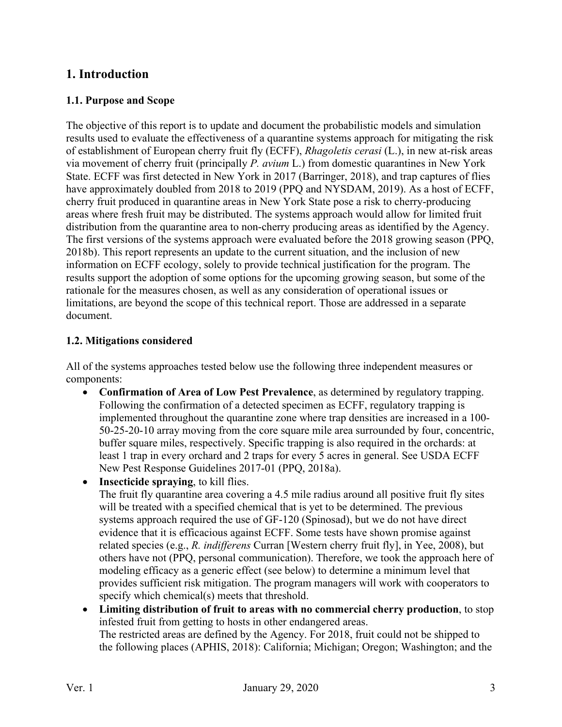# **1. Introduction**

### **1.1. Purpose and Scope**

The objective of this report is to update and document the probabilistic models and simulation results used to evaluate the effectiveness of a quarantine systems approach for mitigating the risk of establishment of European cherry fruit fly (ECFF), *Rhagoletis cerasi* (L.), in new at-risk areas via movement of cherry fruit (principally *P. avium* L.) from domestic quarantines in New York State. ECFF was first detected in New York in 2017 [\(Barringer, 2018\)](#page-20-0), and trap captures of flies have approximately doubled from 2018 to 2019 [\(PPQ and NYSDAM, 2019\)](#page-21-0). As a host of ECFF, cherry fruit produced in quarantine areas in New York State pose a risk to cherry-producing areas where fresh fruit may be distributed. The systems approach would allow for limited fruit distribution from the quarantine area to non-cherry producing areas as identified by the Agency. The first versions of the systems approach were evaluated before the 2018 growing season [\(PPQ,](#page-21-1)  2018b). This report represents an update to the current situation, and the inclusion of new information on ECFF ecology, solely to provide technical justification for the program. The results support the adoption of some options for the upcoming growing season, but some of the rationale for the measures chosen, as well as any consideration of operational issues or limitations, are beyond the scope of this technical report. Those are addressed in a separate document.

#### **1.2. Mitigations considered**

All of the systems approaches tested below use the following three independent measures or components:

- **Confirmation of Area of Low Pest Prevalence**, as determined by regulatory trapping. Following the confirmation of a detected specimen as ECFF, regulatory trapping is implemented throughout the quarantine zone where trap densities are increased in a 100- 50-25-20-10 array moving from the core square mile area surrounded by four, concentric, buffer square miles, respectively. Specific trapping is also required in the orchards: at least 1 trap in every orchard and 2 traps for every 5 acres in general. See USDA ECFF New Pest Response Guidelines 2017-01 [\(PPQ, 2018a\)](#page-21-2).
- **Insecticide spraying**, to kill flies.

The fruit fly quarantine area covering a 4.5 mile radius around all positive fruit fly sites will be treated with a specified chemical that is yet to be determined. The previous systems approach required the use of GF-120 (Spinosad), but we do not have direct evidence that it is efficacious against ECFF. Some tests have shown promise against related species (e.g., *R. indifferens* Curran [Western cherry fruit fly], in [Yee, 2008\)](#page-22-0), but others have not (PPQ, personal communication). Therefore, we took the approach here of modeling efficacy as a generic effect (see below) to determine a minimum level that provides sufficient risk mitigation. The program managers will work with cooperators to specify which chemical(s) meets that threshold.

• **Limiting distribution of fruit to areas with no commercial cherry production**, to stop infested fruit from getting to hosts in other endangered areas. The restricted areas are defined by the Agency. For 2018, fruit could not be shipped to the following places [\(APHIS, 2018\)](#page-20-1): California; Michigan; Oregon; Washington; and the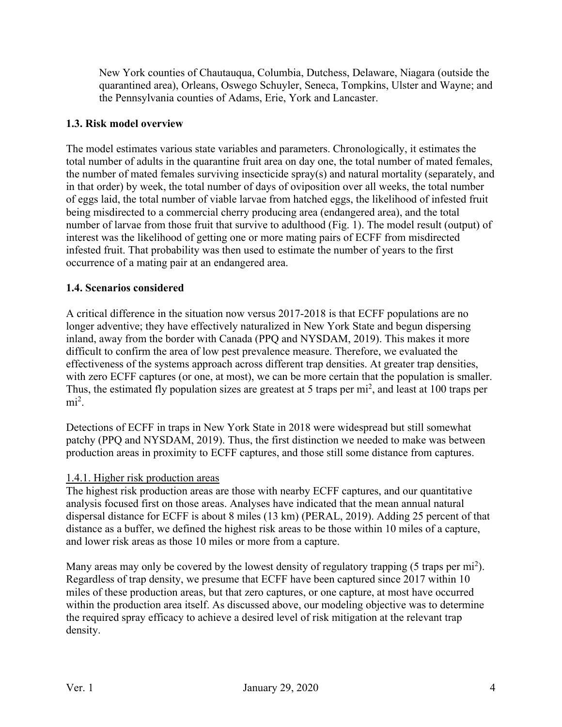New York counties of Chautauqua, Columbia, Dutchess, Delaware, Niagara (outside the quarantined area), Orleans, Oswego Schuyler, Seneca, Tompkins, Ulster and Wayne; and the Pennsylvania counties of Adams, Erie, York and Lancaster.

## **1.3. Risk model overview**

The model estimates various state variables and parameters. Chronologically, it estimates the total number of adults in the quarantine fruit area on day one, the total number of mated females, the number of mated females surviving insecticide spray(s) and natural mortality (separately, and in that order) by week, the total number of days of oviposition over all weeks, the total number of eggs laid, the total number of viable larvae from hatched eggs, the likelihood of infested fruit being misdirected to a commercial cherry producing area (endangered area), and the total number of larvae from those fruit that survive to adulthood (Fig. 1). The model result (output) of interest was the likelihood of getting one or more mating pairs of ECFF from misdirected infested fruit. That probability was then used to estimate the number of years to the first occurrence of a mating pair at an endangered area.

## **1.4. Scenarios considered**

A critical difference in the situation now versus 2017-2018 is that ECFF populations are no longer adventive; they have effectively naturalized in New York State and begun dispersing inland, away from the border with Canada [\(PPQ and NYSDAM, 2019\)](#page-21-0). This makes it more difficult to confirm the area of low pest prevalence measure. Therefore, we evaluated the effectiveness of the systems approach across different trap densities. At greater trap densities, with zero ECFF captures (or one, at most), we can be more certain that the population is smaller. Thus, the estimated fly population sizes are greatest at 5 traps per  $mi^2$ , and least at 100 traps per  $\text{mi}^2$ .

Detections of ECFF in traps in New York State in 2018 were widespread but still somewhat patchy [\(PPQ and NYSDAM, 2019\)](#page-21-0). Thus, the first distinction we needed to make was between production areas in proximity to ECFF captures, and those still some distance from captures.

## 1.4.1. Higher risk production areas

The highest risk production areas are those with nearby ECFF captures, and our quantitative analysis focused first on those areas. Analyses have indicated that the mean annual natural dispersal distance for ECFF is about 8 miles (13 km) [\(PERAL, 2019\)](#page-21-3). Adding 25 percent of that distance as a buffer, we defined the highest risk areas to be those within 10 miles of a capture, and lower risk areas as those 10 miles or more from a capture.

Many areas may only be covered by the lowest density of regulatory trapping (5 traps per mi<sup>2</sup>). Regardless of trap density, we presume that ECFF have been captured since 2017 within 10 miles of these production areas, but that zero captures, or one capture, at most have occurred within the production area itself. As discussed above, our modeling objective was to determine the required spray efficacy to achieve a desired level of risk mitigation at the relevant trap density.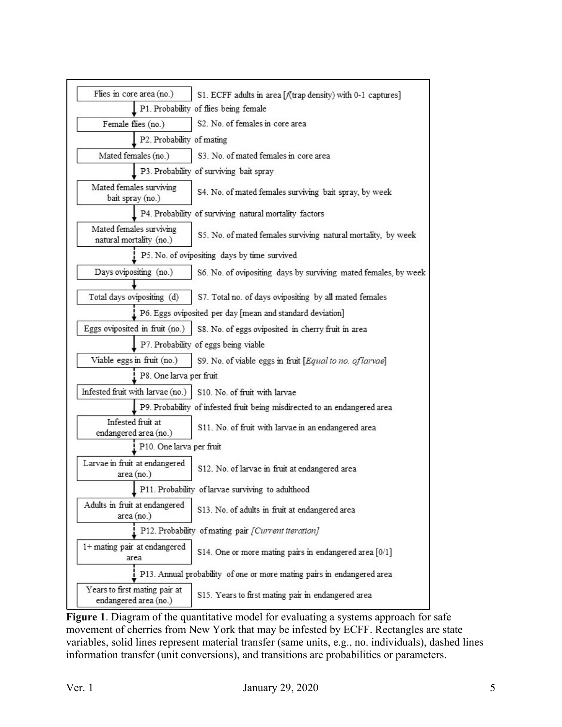| Flies in core area (no.)                               | S1. ECFF adults in area [f(trap density) with 0-1 captures]               |  |  |
|--------------------------------------------------------|---------------------------------------------------------------------------|--|--|
|                                                        | P1. Probability of flies being female                                     |  |  |
| Female flies (no.)                                     | S2. No. of females in core area                                           |  |  |
| P2. Probability of mating                              |                                                                           |  |  |
| Mated females (no.)                                    | S3. No. of mated females in core area                                     |  |  |
|                                                        | P3. Probability of surviving bait spray                                   |  |  |
| Mated females surviving<br>bait spray (no.)            | S4. No. of mated females surviving bait spray, by week                    |  |  |
|                                                        | P4. Probability of surviving natural mortality factors                    |  |  |
| Mated females surviving<br>natural mortality (no.)     | S5. No. of mated females surviving natural mortality, by week             |  |  |
|                                                        | P5. No. of ovipositing days by time survived                              |  |  |
| Days ovipositing (no.)                                 | S6. No. of ovipositing days by surviving mated females, by week           |  |  |
|                                                        |                                                                           |  |  |
| Total days ovipositing (d)                             | S7. Total no. of days ovipositing by all mated females                    |  |  |
|                                                        | P6. Eggs oviposited per day [mean and standard deviation]                 |  |  |
| Eggs oviposited in fruit (no.)                         | S8. No. of eggs oviposited in cherry fruit in area                        |  |  |
|                                                        | P7. Probability of eggs being viable                                      |  |  |
| Viable eggs in fruit (no.)                             | S9. No. of viable eggs in fruit [Equal to no. of larvae]                  |  |  |
| P8. One larva per fruit                                |                                                                           |  |  |
| Infested fruit with larvae (no.)                       | S10. No. of fruit with larvae                                             |  |  |
|                                                        | P9. Probability of infested fruit being misdirected to an endangered area |  |  |
| Infested fruit at<br>endangered area (no.)             | S11. No. of fruit with larvae in an endangered area                       |  |  |
| P10. One larva per fruit                               |                                                                           |  |  |
| Larvae in fruit at endangered<br>area (no.)            | S12. No. of larvae in fruit at endangered area                            |  |  |
|                                                        | P11. Probability of larvae surviving to adulthood                         |  |  |
| Adults in fruit at endangered<br>area (no.)            | S13. No. of adults in fruit at endangered area                            |  |  |
|                                                        | P12. Probability of mating pair [Current iteration]                       |  |  |
| 1+ mating pair at endangered<br>area                   | S14. One or more mating pairs in endangered area [0/1]                    |  |  |
|                                                        | P13. Annual probability of one or more mating pairs in endangered area    |  |  |
| Years to first mating pair at<br>endangered area (no.) | S15. Years to first mating pair in endangered area                        |  |  |

Figure 1. Diagram of the quantitative model for evaluating a systems approach for safe movement of cherries from New York that may be infested by ECFF. Rectangles are state variables, solid lines represent material transfer (same units, e.g., no. individuals), dashed lines information transfer (unit conversions), and transitions are probabilities or parameters.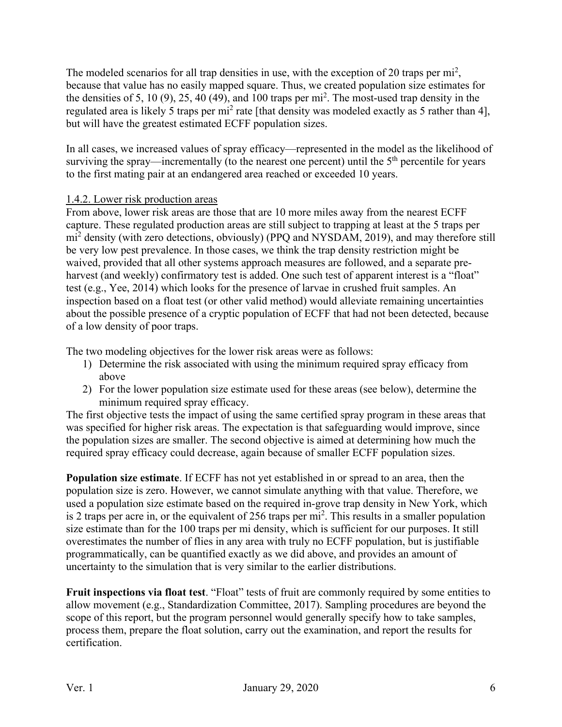The modeled scenarios for all trap densities in use, with the exception of 20 traps per  $mi^2$ , because that value has no easily mapped square. Thus, we created population size estimates for the densities of 5, 10 (9), 25, 40 (49), and 100 traps per  $mi^2$ . The most-used trap density in the regulated area is likely 5 traps per mi<sup>2</sup> rate [that density was modeled exactly as 5 rather than 4], but will have the greatest estimated ECFF population sizes.

In all cases, we increased values of spray efficacy—represented in the model as the likelihood of surviving the spray—incrementally (to the nearest one percent) until the  $5<sup>th</sup>$  percentile for years to the first mating pair at an endangered area reached or exceeded 10 years.

## 1.4.2. Lower risk production areas

From above, lower risk areas are those that are 10 more miles away from the nearest ECFF capture. These regulated production areas are still subject to trapping at least at the 5 traps per mi<sup>2</sup> density (with zero detections, obviously) [\(PPQ and NYSDAM, 2019\)](#page-21-0), and may therefore still be very low pest prevalence. In those cases, we think the trap density restriction might be waived, provided that all other systems approach measures are followed, and a separate preharvest (and weekly) confirmatory test is added. One such test of apparent interest is a "float" test (e.g., [Yee, 2014\)](#page-22-1) which looks for the presence of larvae in crushed fruit samples. An inspection based on a float test (or other valid method) would alleviate remaining uncertainties about the possible presence of a cryptic population of ECFF that had not been detected, because of a low density of poor traps.

The two modeling objectives for the lower risk areas were as follows:

- 1) Determine the risk associated with using the minimum required spray efficacy from above
- 2) For the lower population size estimate used for these areas (see below), determine the minimum required spray efficacy.

The first objective tests the impact of using the same certified spray program in these areas that was specified for higher risk areas. The expectation is that safeguarding would improve, since the population sizes are smaller. The second objective is aimed at determining how much the required spray efficacy could decrease, again because of smaller ECFF population sizes.

**Population size estimate**. If ECFF has not yet established in or spread to an area, then the population size is zero. However, we cannot simulate anything with that value. Therefore, we used a population size estimate based on the required in-grove trap density in New York, which is 2 traps per acre in, or the equivalent of 256 traps per  $mi^2$ . This results in a smaller population size estimate than for the 100 traps per mi density, which is sufficient for our purposes. It still overestimates the number of flies in any area with truly no ECFF population, but is justifiable programmatically, can be quantified exactly as we did above, and provides an amount of uncertainty to the simulation that is very similar to the earlier distributions.

**Fruit inspections via float test**. "Float" tests of fruit are commonly required by some entities to allow movement (e.g., [Standardization Committee, 2017\)](#page-22-2). Sampling procedures are beyond the scope of this report, but the program personnel would generally specify how to take samples, process them, prepare the float solution, carry out the examination, and report the results for certification.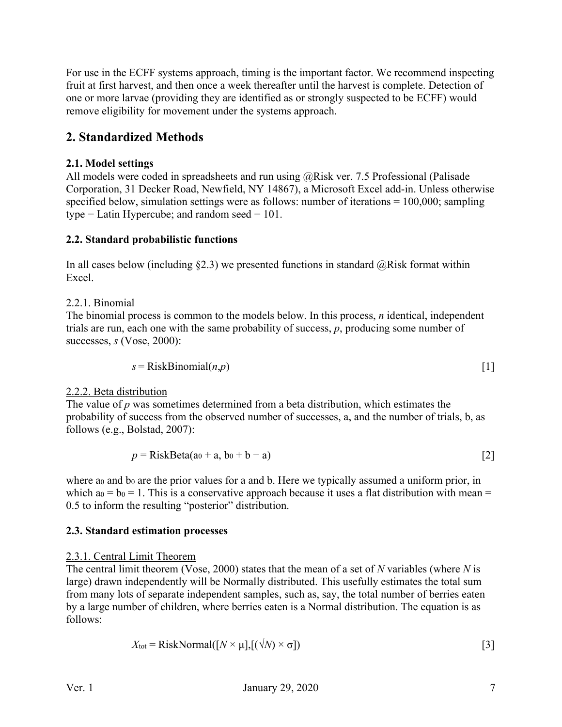For use in the ECFF systems approach, timing is the important factor. We recommend inspecting fruit at first harvest, and then once a week thereafter until the harvest is complete. Detection of one or more larvae (providing they are identified as or strongly suspected to be ECFF) would remove eligibility for movement under the systems approach.

# **2. Standardized Methods**

## **2.1. Model settings**

All models were coded in spreadsheets and run using @Risk ver. 7.5 Professional (Palisade Corporation, 31 Decker Road, Newfield, NY 14867), a Microsoft Excel add-in. Unless otherwise specified below, simulation settings were as follows: number of iterations = 100,000; sampling type = Latin Hypercube; and random seed =  $101$ .

## **2.2. Standard probabilistic functions**

In all cases below (including  $\S 2.3$ ) we presented functions in standard  $@Risk$  format within Excel.

## 2.2.1. Binomial

The binomial process is common to the models below. In this process, *n* identical, independent trials are run, each one with the same probability of success, *p*, producing some number of successes, *s* [\(Vose, 2000\)](#page-22-3):

$$
s = RiskBinomial(n, p)
$$
 [1]

## 2.2.2. Beta distribution

The value of *p* was sometimes determined from a beta distribution, which estimates the probability of success from the observed number of successes, a, and the number of trials, b, as follows (e.g., [Bolstad, 2007\)](#page-20-2):

$$
p = RiskBeta(a_0 + a, b_0 + b - a)
$$
 [2]

where a<sub>0</sub> and b<sub>0</sub> are the prior values for a and b. Here we typically assumed a uniform prior, in which  $a_0 = b_0 = 1$ . This is a conservative approach because it uses a flat distribution with mean = 0.5 to inform the resulting "posterior" distribution.

## **2.3. Standard estimation processes**

## 2.3.1. Central Limit Theorem

The central limit theorem [\(Vose, 2000\)](#page-22-3) states that the mean of a set of *N* variables (where *N* is large) drawn independently will be Normally distributed. This usefully estimates the total sum from many lots of separate independent samples, such as, say, the total number of berries eaten by a large number of children, where berries eaten is a Normal distribution. The equation is as follows:

$$
X_{\text{tot}} = \text{RiskNormal}([N \times \mu], [(\sqrt{N}) \times \sigma])
$$
\n[3]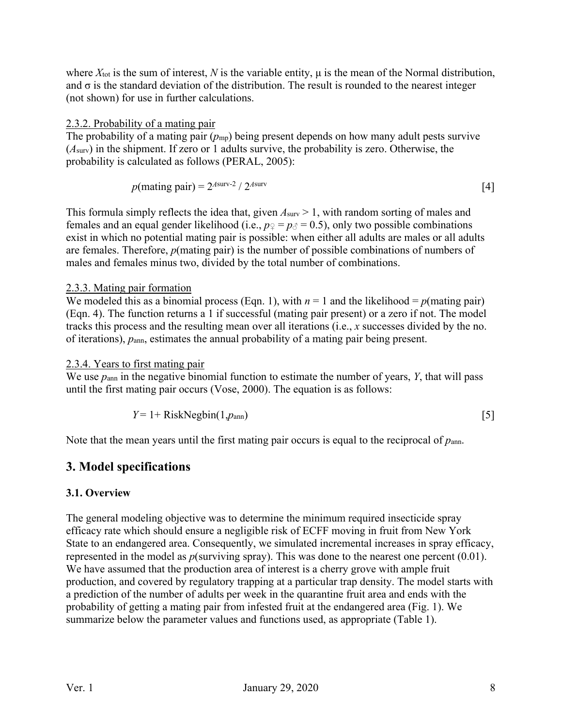where  $X<sub>tot</sub>$  is the sum of interest,  $N$  is the variable entity,  $\mu$  is the mean of the Normal distribution, and  $\sigma$  is the standard deviation of the distribution. The result is rounded to the nearest integer (not shown) for use in further calculations.

## 2.3.2. Probability of a mating pair

The probability of a mating pair ( $p_{mp}$ ) being present depends on how many adult pests survive (*A*surv) in the shipment. If zero or 1 adults survive, the probability is zero. Otherwise, the probability is calculated as follows [\(PERAL, 2005\)](#page-21-4):

$$
p(\text{mating pair}) = 2^{A\text{surv-2}} / 2^{A\text{surv}} \tag{4}
$$

This formula simply reflects the idea that, given  $A_{\text{surv}} > 1$ , with random sorting of males and females and an equal gender likelihood (i.e.,  $p_2 = p_0 = 0.5$ ), only two possible combinations exist in which no potential mating pair is possible: when either all adults are males or all adults are females. Therefore, *p*(mating pair) is the number of possible combinations of numbers of males and females minus two, divided by the total number of combinations.

#### 2.3.3. Mating pair formation

We modeled this as a binomial process (Eqn. 1), with  $n = 1$  and the likelihood =  $p$ (mating pair) (Eqn. 4). The function returns a 1 if successful (mating pair present) or a zero if not. The model tracks this process and the resulting mean over all iterations (i.e., *x* successes divided by the no. of iterations),  $p_{\text{ann}}$ , estimates the annual probability of a mating pair being present.

#### 2.3.4. Years to first mating pair

We use *p*ann in the negative binomial function to estimate the number of years, *Y*, that will pass until the first mating pair occurs [\(Vose, 2000\)](#page-22-3). The equation is as follows:

$$
Y = 1 + RiskNegbin(1, p_{ann})
$$
 [5]

Note that the mean years until the first mating pair occurs is equal to the reciprocal of *p*ann.

## **3. Model specifications**

## **3.1. Overview**

The general modeling objective was to determine the minimum required insecticide spray efficacy rate which should ensure a negligible risk of ECFF moving in fruit from New York State to an endangered area. Consequently, we simulated incremental increases in spray efficacy, represented in the model as *p*(surviving spray). This was done to the nearest one percent (0.01). We have assumed that the production area of interest is a cherry grove with ample fruit production, and covered by regulatory trapping at a particular trap density. The model starts with a prediction of the number of adults per week in the quarantine fruit area and ends with the probability of getting a mating pair from infested fruit at the endangered area (Fig. 1). We summarize below the parameter values and functions used, as appropriate (Table 1).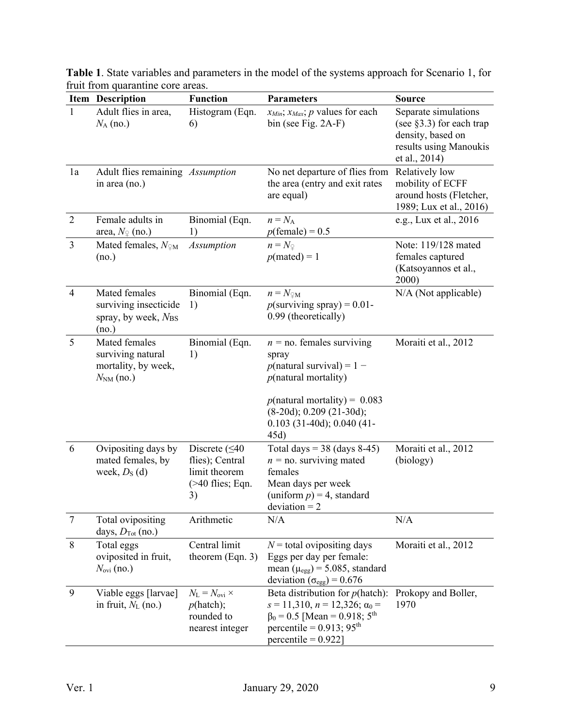|                | man nom quaramme core areas.<br>Item Description                            | <b>Function</b>                                                                       | <b>Parameters</b>                                                                                                                                                                                         | <b>Source</b>                                                                                                        |
|----------------|-----------------------------------------------------------------------------|---------------------------------------------------------------------------------------|-----------------------------------------------------------------------------------------------------------------------------------------------------------------------------------------------------------|----------------------------------------------------------------------------------------------------------------------|
| $\mathbf{1}$   | Adult flies in area,<br>$N_A$ (no.)                                         | Histogram (Eqn.<br>6)                                                                 | $x_{Min}$ ; $x_{Max}$ ; p values for each<br>bin (see Fig. 2A-F)                                                                                                                                          | Separate simulations<br>(see $\S$ 3.3) for each trap<br>density, based on<br>results using Manoukis<br>et al., 2014) |
| 1a             | Adult flies remaining Assumption<br>in area (no.)                           |                                                                                       | No net departure of flies from<br>the area (entry and exit rates<br>are equal)                                                                                                                            | Relatively low<br>mobility of ECFF<br>around hosts (Fletcher,<br>1989; Lux et al., 2016)                             |
| $\overline{2}$ | Female adults in<br>area, $N_{\mathcal{Q}}$ (no.)                           | Binomial (Eqn.<br>1)                                                                  | $n = N_A$<br>$p(\text{female}) = 0.5$                                                                                                                                                                     | e.g., Lux et al., 2016                                                                                               |
| $\overline{3}$ | Mated females, $N_{\text{M}}$<br>(no.)                                      | <b>Assumption</b>                                                                     | $n = N_{\mathcal{Q}}$<br>$p(\text{matched}) = 1$                                                                                                                                                          | Note: 119/128 mated<br>females captured<br>(Katsoyannos et al.,<br>2000)                                             |
| $\overline{4}$ | Mated females<br>surviving insecticide<br>spray, by week, NBS<br>(no.)      | Binomial (Eqn.<br>1)                                                                  | $n = N_{\mathfrak{D}M}$<br>$p$ (surviving spray) = 0.01-<br>0.99 (theoretically)                                                                                                                          | N/A (Not applicable)                                                                                                 |
| 5              | Mated females<br>surviving natural<br>mortality, by week,<br>$N_{NM}$ (no.) | Binomial (Eqn.<br>1)                                                                  | $n =$ no. females surviving<br>spray<br>$p$ (natural survival) = 1 –<br>$p$ (natural mortality)<br>$p$ (natural mortality) = 0.083<br>$(8-20d)$ ; 0.209 (21-30d);<br>$0.103$ (31-40d); 0.040 (41-<br>45d) | Moraiti et al., 2012                                                                                                 |
| 6              | Ovipositing days by<br>mated females, by<br>week, $DS$ (d)                  | Discrete $( \leq 40$<br>flies); Central<br>limit theorem<br>$($ >40 flies; Eqn.<br>3) | Total days = $38$ (days 8-45)<br>$n =$ no. surviving mated<br>females<br>Mean days per week<br>(uniform $p$ ) = 4, standard<br>$deviation = 2$                                                            | Moraiti et al., 2012<br>(biology)                                                                                    |
| $\overline{7}$ | Total ovipositing<br>days, $D_{\text{Tot}}$ (no.)                           | Arithmetic                                                                            | N/A                                                                                                                                                                                                       | N/A                                                                                                                  |
| 8              | Total eggs<br>oviposited in fruit,<br>$N_{\text{ovi}}$ (no.)                | Central limit<br>theorem $(Eqn. 3)$                                                   | $N$ = total ovipositing days<br>Eggs per day per female:<br>mean ( $\mu_{egg}$ ) = 5.085, standard<br>deviation ( $\sigma_{\text{egg}}$ ) = 0.676                                                         | Moraiti et al., 2012                                                                                                 |
| 9              | Viable eggs [larvae]<br>in fruit, $N_{L}$ (no.)                             | $N_{\rm L}=N_{\rm ovi}\times$<br>p(hatch);<br>rounded to<br>nearest integer           | Beta distribution for $p$ (hatch):<br>$s = 11,310$ , $n = 12,326$ ; $\alpha_0 =$<br>$\beta_0 = 0.5$ [Mean = 0.918; 5 <sup>th</sup><br>percentile = $0.913$ ; $95th$<br>$percentile = 0.922$ ]             | Prokopy and Boller,<br>1970                                                                                          |

**Table 1**. State variables and parameters in the model of the systems approach for Scenario 1, for fruit from quarantine core areas.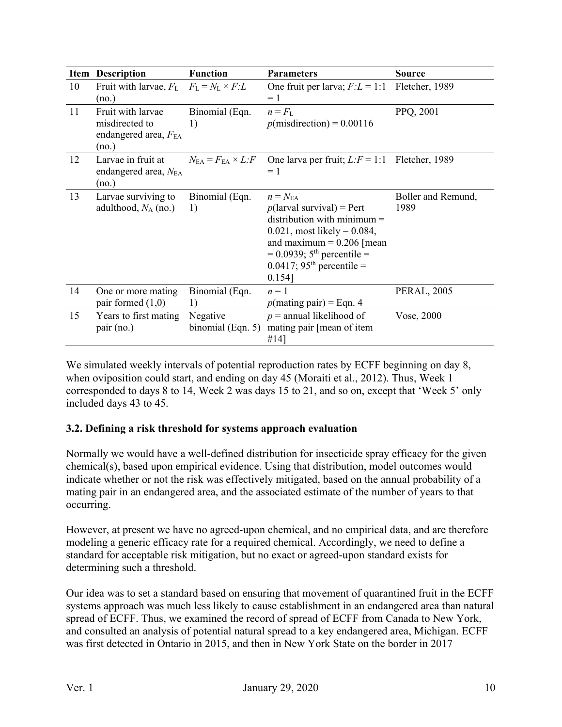|    | <b>Item Description</b>                                              | <b>Function</b>                             | <b>Parameters</b>                                                                                                                                                                                                                                           | <b>Source</b>              |
|----|----------------------------------------------------------------------|---------------------------------------------|-------------------------------------------------------------------------------------------------------------------------------------------------------------------------------------------------------------------------------------------------------------|----------------------------|
| 10 | Fruit with larvae, $F_L$ $F_L = N_L \times F_L$<br>(no.)             |                                             | One fruit per larva; $F: L = 1:1$<br>$= 1$                                                                                                                                                                                                                  | Fletcher, 1989             |
| 11 | Fruit with larvae<br>misdirected to<br>endangered area, FEA<br>(no.) | Binomial (Eqn.<br>1)                        | $n = FL$<br>$p(misdirection) = 0.00116$                                                                                                                                                                                                                     | PPQ, 2001                  |
| 12 | Larvae in fruit at<br>endangered area, NEA<br>(no.)                  | $N_{\rm EA}=F_{\rm EA}\times L\dot{\cdot}F$ | One larva per fruit; $L: F = 1:1$<br>$= 1$                                                                                                                                                                                                                  | Fletcher, 1989             |
| 13 | Larvae surviving to<br>adulthood, $N_A$ (no.)                        | Binomial (Eqn.<br>1)                        | $n = N_{\text{EA}}$<br>$p$ (larval survival) = Pert<br>distribution with minimum $=$<br>$0.021$ , most likely = 0.084,<br>and maximum = $0.206$ [mean<br>$= 0.0939$ ; 5 <sup>th</sup> percentile =<br>$0.0417$ ; 95 <sup>th</sup> percentile =<br>$0.154$ ] | Boller and Remund,<br>1989 |
| 14 | One or more mating<br>pair formed $(1,0)$                            | Binomial (Eqn.<br>1)                        | $n=1$<br>$p$ (mating pair) = Eqn. 4                                                                                                                                                                                                                         | <b>PERAL, 2005</b>         |
| 15 | Years to first mating<br>pair (no.)                                  | Negative<br>binomial (Eqn. $5$ )            | $p =$ annual likelihood of<br>mating pair [mean of item<br>#14]                                                                                                                                                                                             | Vose, 2000                 |

We simulated weekly intervals of potential reproduction rates by ECFF beginning on day 8, when oviposition could start, and ending on day 45 [\(Moraiti et al., 2012\)](#page-21-9). Thus, Week 1 corresponded to days 8 to 14, Week 2 was days 15 to 21, and so on, except that 'Week 5' only included days 43 to 45.

## **3.2. Defining a risk threshold for systems approach evaluation**

Normally we would have a well-defined distribution for insecticide spray efficacy for the given chemical(s), based upon empirical evidence. Using that distribution, model outcomes would indicate whether or not the risk was effectively mitigated, based on the annual probability of a mating pair in an endangered area, and the associated estimate of the number of years to that occurring.

However, at present we have no agreed-upon chemical, and no empirical data, and are therefore modeling a generic efficacy rate for a required chemical. Accordingly, we need to define a standard for acceptable risk mitigation, but no exact or agreed-upon standard exists for determining such a threshold.

Our idea was to set a standard based on ensuring that movement of quarantined fruit in the ECFF systems approach was much less likely to cause establishment in an endangered area than natural spread of ECFF. Thus, we examined the record of spread of ECFF from Canada to New York, and consulted an analysis of potential natural spread to a key endangered area, Michigan. ECFF was first detected in Ontario in 2015, and then in New York State on the border in 2017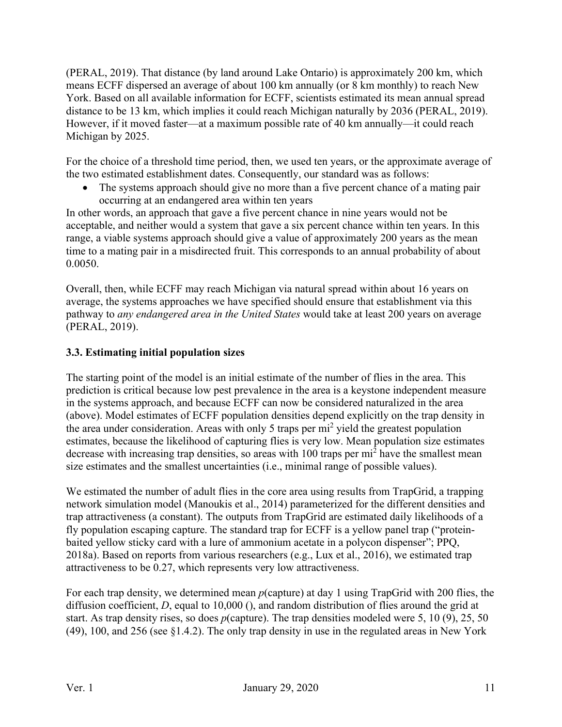[\(PERAL, 2019\)](#page-21-3). That distance (by land around Lake Ontario) is approximately 200 km, which means ECFF dispersed an average of about 100 km annually (or 8 km monthly) to reach New York. Based on all available information for ECFF, scientists estimated its mean annual spread distance to be 13 km, which implies it could reach Michigan naturally by 2036 [\(PERAL, 2019\)](#page-21-3). However, if it moved faster—at a maximum possible rate of 40 km annually—it could reach Michigan by 2025.

For the choice of a threshold time period, then, we used ten years, or the approximate average of the two estimated establishment dates. Consequently, our standard was as follows:

• The systems approach should give no more than a five percent chance of a mating pair occurring at an endangered area within ten years

In other words, an approach that gave a five percent chance in nine years would not be acceptable, and neither would a system that gave a six percent chance within ten years. In this range, a viable systems approach should give a value of approximately 200 years as the mean time to a mating pair in a misdirected fruit. This corresponds to an annual probability of about 0.0050.

Overall, then, while ECFF may reach Michigan via natural spread within about 16 years on average, the systems approaches we have specified should ensure that establishment via this pathway to *any endangered area in the United States* would take at least 200 years on average (PERAL, 2019).

## **3.3. Estimating initial population sizes**

The starting point of the model is an initial estimate of the number of flies in the area. This prediction is critical because low pest prevalence in the area is a keystone independent measure in the systems approach, and because ECFF can now be considered naturalized in the area (above). Model estimates of ECFF population densities depend explicitly on the trap density in the area under consideration. Areas with only 5 traps per  $mi^2$  yield the greatest population estimates, because the likelihood of capturing flies is very low. Mean population size estimates decrease with increasing trap densities, so areas with 100 traps per mi<sup>2</sup> have the smallest mean size estimates and the smallest uncertainties (i.e., minimal range of possible values).

We estimated the number of adult flies in the core area using results from TrapGrid, a trapping network simulation model [\(Manoukis et al., 2014\)](#page-21-5) parameterized for the different densities and trap attractiveness (a constant). The outputs from TrapGrid are estimated daily likelihoods of a fly population escaping capture. The standard trap for ECFF is a yellow panel trap ("proteinbaited yellow sticky card with a lure of ammonium acetate in a polycon dispenser"; [PPQ,](#page-21-2)  2018a). Based on reports from various researchers (e.g., [Lux et al., 2016\)](#page-21-7), we estimated trap attractiveness to be 0.27, which represents very low attractiveness.

For each trap density, we determined mean *p*(capture) at day 1 using TrapGrid with 200 flies, the diffusion coefficient, *D*, equal to 10,000 (), and random distribution of flies around the grid at start. As trap density rises, so does *p*(capture). The trap densities modeled were 5, 10 (9), 25, 50 (49), 100, and 256 (see §1.4.2). The only trap density in use in the regulated areas in New York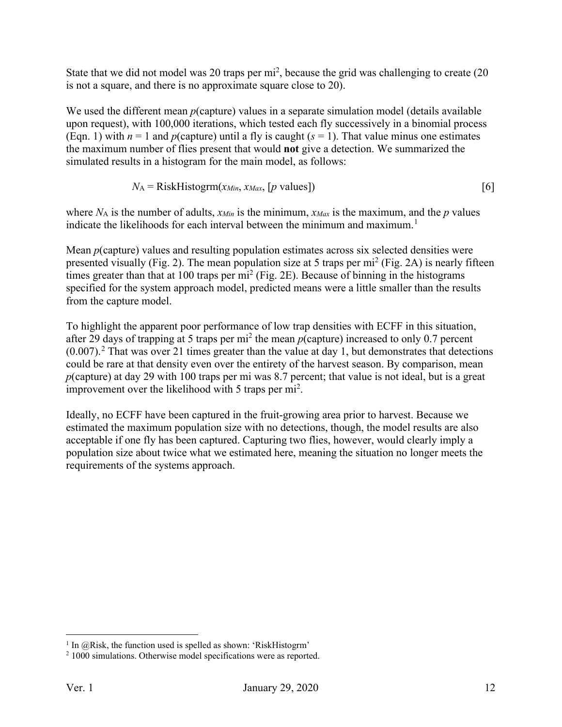State that we did not model was 20 traps per  $mi^2$ , because the grid was challenging to create (20 is not a square, and there is no approximate square close to 20).

We used the different mean *p*(capture) values in a separate simulation model (details available upon request), with 100,000 iterations, which tested each fly successively in a binomial process (Eqn. 1) with  $n = 1$  and  $p$ (capture) until a fly is caught ( $s = 1$ ). That value minus one estimates the maximum number of flies present that would **not** give a detection. We summarized the simulated results in a histogram for the main model, as follows:

$$
N_A = RiskHistorym(x_{Min}, x_{Max}, [p \text{ values}])
$$
 [6]

where  $N_A$  is the number of adults,  $x_{Min}$  is the minimum,  $x_{Max}$  is the maximum, and the  $p$  values indicate the likelihoods for each interval between the minimum and maximum.<sup>[1](#page-11-0)</sup>

Mean *p*(capture) values and resulting population estimates across six selected densities were presented visually (Fig. 2). The mean population size at 5 traps per mi<sup>2</sup> (Fig. 2A) is nearly fifteen times greater than that at 100 traps per  $mi^2$  (Fig. 2E). Because of binning in the histograms specified for the system approach model, predicted means were a little smaller than the results from the capture model.

To highlight the apparent poor performance of low trap densities with ECFF in this situation, after 29 days of trapping at 5 traps per mi2 the mean *p*(capture) increased to only 0.7 percent  $(0.007)$ .<sup>[2](#page-11-1)</sup> That was over 21 times greater than the value at day 1, but demonstrates that detections could be rare at that density even over the entirety of the harvest season. By comparison, mean *p*(capture) at day 29 with 100 traps per mi was 8.7 percent; that value is not ideal, but is a great improvement over the likelihood with 5 traps per  $mi^2$ .

Ideally, no ECFF have been captured in the fruit-growing area prior to harvest. Because we estimated the maximum population size with no detections, though, the model results are also acceptable if one fly has been captured. Capturing two flies, however, would clearly imply a population size about twice what we estimated here, meaning the situation no longer meets the requirements of the systems approach.

<span id="page-11-0"></span> $1$  In @Risk, the function used is spelled as shown: 'RiskHistogrm'

<span id="page-11-1"></span><sup>&</sup>lt;sup>2</sup> 1000 simulations. Otherwise model specifications were as reported.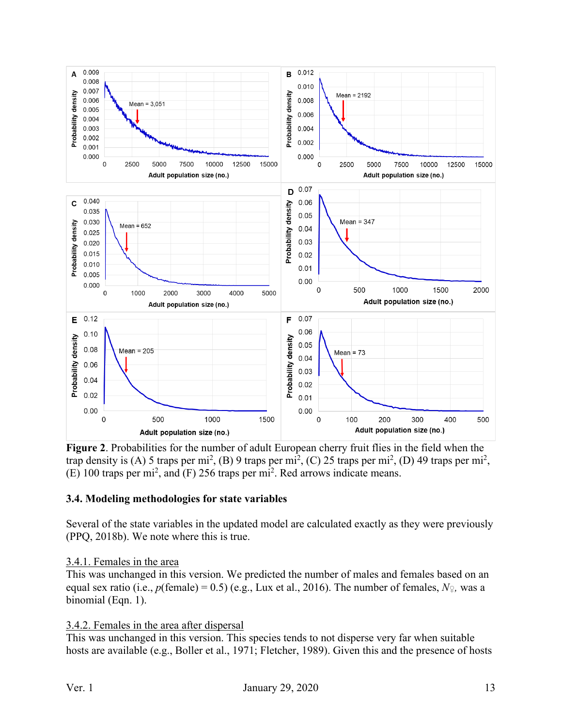

**Figure 2**. Probabilities for the number of adult European cherry fruit flies in the field when the trap density is (A) 5 traps per mi<sup>2</sup>, (B) 9 traps per mi<sup>2</sup>, (C) 25 traps per mi<sup>2</sup>, (D) 49 traps per mi<sup>2</sup>,  $(E)$  100 traps per mi<sup>2</sup>, and  $(F)$  256 traps per mi<sup>2</sup>. Red arrows indicate means.

#### **3.4. Modeling methodologies for state variables**

Several of the state variables in the updated model are calculated exactly as they were previously [\(PPQ, 2018b\)](#page-21-1). We note where this is true.

#### 3.4.1. Females in the area

This was unchanged in this version. We predicted the number of males and females based on an equal sex ratio (i.e.,  $p(\text{female}) = 0.5$ ) (e.g., [Lux et al., 2016\)](#page-21-7). The number of females,  $N_{\text{P}}$ , was a binomial (Eqn. 1).

#### 3.4.2. Females in the area after dispersal

This was unchanged in this version. This species tends to not disperse very far when suitable hosts are available (e.g., [Boller et al., 1971;](#page-20-4) [Fletcher, 1989\)](#page-21-6). Given this and the presence of hosts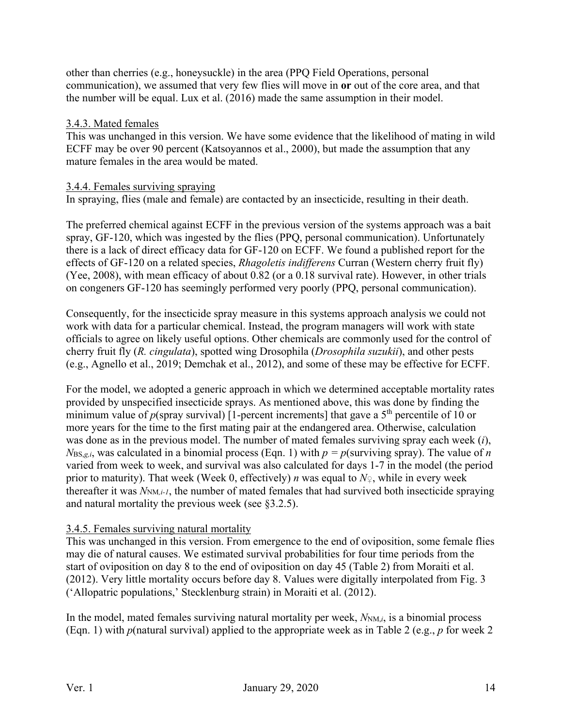other than cherries (e.g., honeysuckle) in the area (PPQ Field Operations, personal communication), we assumed that very few flies will move in **or** out of the core area, and that the number will be equal. Lux et al. [\(2016\)](#page-21-7) made the same assumption in their model.

## 3.4.3. Mated females

This was unchanged in this version. We have some evidence that the likelihood of mating in wild ECFF may be over 90 percent (Katsoyannos et al., 2000), but made the assumption that any mature females in the area would be mated.

#### 3.4.4. Females surviving spraying

In spraying, flies (male and female) are contacted by an insecticide, resulting in their death.

The preferred chemical against ECFF in the previous version of the systems approach was a bait spray, GF-120, which was ingested by the flies (PPQ, personal communication). Unfortunately there is a lack of direct efficacy data for GF-120 on ECFF. We found a published report for the effects of GF-120 on a related species, *Rhagoletis indifferens* Curran (Western cherry fruit fly) [\(Yee, 2008\)](#page-22-0), with mean efficacy of about 0.82 (or a 0.18 survival rate). However, in other trials on congeners GF-120 has seemingly performed very poorly (PPQ, personal communication).

Consequently, for the insecticide spray measure in this systems approach analysis we could not work with data for a particular chemical. Instead, the program managers will work with state officials to agree on likely useful options. Other chemicals are commonly used for the control of cherry fruit fly (*R. cingulata*), spotted wing Drosophila (*Drosophila suzukii*), and other pests (e.g., [Agnello et al., 2019;](#page-20-5) [Demchak et al., 2012\)](#page-20-6), and some of these may be effective for ECFF.

For the model, we adopted a generic approach in which we determined acceptable mortality rates provided by unspecified insecticide sprays. As mentioned above, this was done by finding the minimum value of  $p$ (spray survival) [1-percent increments] that gave a 5<sup>th</sup> percentile of 10 or more years for the time to the first mating pair at the endangered area. Otherwise, calculation was done as in the previous model. The number of mated females surviving spray each week (*i*),  $N_{BS,g,i}$ , was calculated in a binomial process (Eqn. 1) with  $p = p$ (surviving spray). The value of *n* varied from week to week, and survival was also calculated for days 1-7 in the model (the period prior to maturity). That week (Week 0, effectively) *n* was equal to *N♀*, while in every week thereafter it was *N<sub>NM,i-1</sub>*, the number of mated females that had survived both insecticide spraying and natural mortality the previous week (see §3.2.5).

## 3.4.5. Females surviving natural mortality

This was unchanged in this version. From emergence to the end of oviposition, some female flies may die of natural causes. We estimated survival probabilities for four time periods from the start of oviposition on day 8 to the end of oviposition on day 45 (Table 2) from Moraiti et al. [\(2012\)](#page-21-9). Very little mortality occurs before day 8. Values were digitally interpolated from Fig. 3 ('Allopatric populations,' Stecklenburg strain) in Moraiti et al. [\(2012\)](#page-21-9).

In the model, mated females surviving natural mortality per week,  $N_{NM,i}$ , is a binomial process (Eqn. 1) with *p*(natural survival) applied to the appropriate week as in Table 2 (e.g., *p* for week 2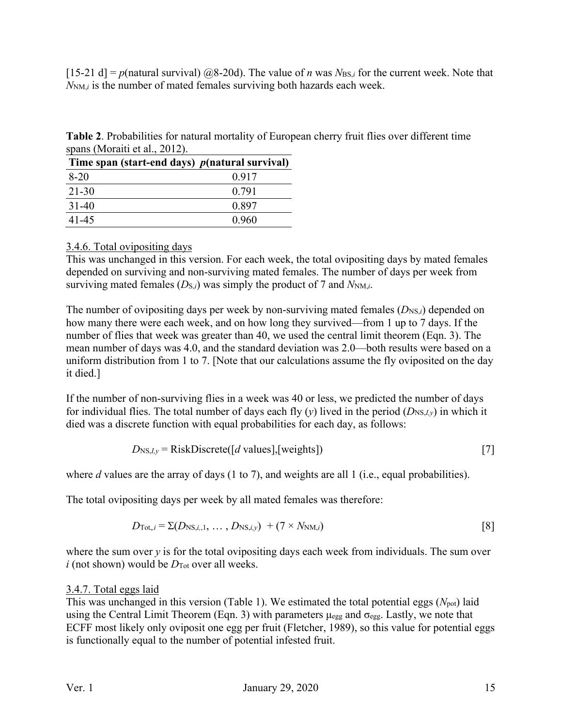[15-21 d] =  $p$ (natural survival) @8-20d). The value of *n* was  $N_{BS,i}$  for the current week. Note that *N<sub>NM</sub>*, is the number of mated females surviving both hazards each week.

**Table 2**. Probabilities for natural mortality of European cherry fruit flies over different time spans [\(Moraiti et al., 2012\)](#page-21-9).

| Time span (start-end days) $p$ (natural survival) |       |
|---------------------------------------------------|-------|
| $8-20$                                            | 0.917 |
| 21-30                                             | 0.791 |
| $31-40$                                           | 0.897 |
| 41-45                                             | 0.960 |

## 3.4.6. Total ovipositing days

This was unchanged in this version. For each week, the total ovipositing days by mated females depended on surviving and non-surviving mated females. The number of days per week from surviving mated females  $(D_{S,i})$  was simply the product of 7 and  $N_{NM,i}$ .

The number of ovipositing days per week by non-surviving mated females  $(D_{\text{NS},i})$  depended on how many there were each week, and on how long they survived—from 1 up to 7 days. If the number of flies that week was greater than 40, we used the central limit theorem (Eqn. 3). The mean number of days was 4.0, and the standard deviation was 2.0—both results were based on a uniform distribution from 1 to 7. [Note that our calculations assume the fly oviposited on the day it died.]

If the number of non-surviving flies in a week was 40 or less, we predicted the number of days for individual flies. The total number of days each fly (*y*) lived in the period  $(D_{NS,I,y})$  in which it died was a discrete function with equal probabilities for each day, as follows:

$$
D_{\text{NS},I,y} = \text{RiskDiscrete}([d \text{ values}],[\text{weights}])
$$
\n[7]

where *d* values are the array of days (1 to 7), and weights are all 1 (i.e., equal probabilities).

The total ovipositing days per week by all mated females was therefore:

$$
D_{\text{Tot},i} = \Sigma(D_{\text{NS},i,1},\ldots,D_{\text{NS},i,y}) + (7 \times N_{\text{NM},i})
$$
\n[8]

where the sum over *y* is for the total ovipositing days each week from individuals. The sum over  $i$  (not shown) would be  $D_{\text{Tot}}$  over all weeks.

## 3.4.7. Total eggs laid

This was unchanged in this version (Table 1). We estimated the total potential eggs (*N*pot) laid using the Central Limit Theorem (Eqn. 3) with parameters  $\mu_{egg}$  and  $\sigma_{egg}$ . Lastly, we note that ECFF most likely only oviposit one egg per fruit [\(Fletcher, 1989\)](#page-21-6), so this value for potential eggs is functionally equal to the number of potential infested fruit.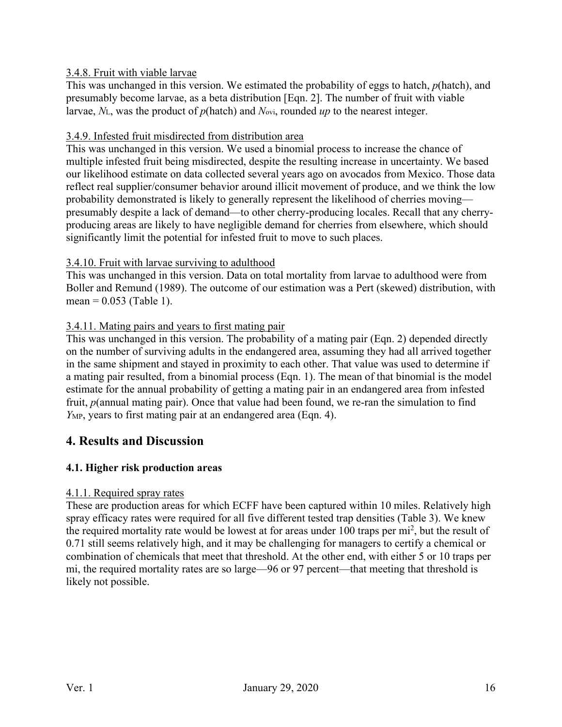## 3.4.8. Fruit with viable larvae

This was unchanged in this version. We estimated the probability of eggs to hatch, *p*(hatch), and presumably become larvae, as a beta distribution [Eqn. 2]. The number of fruit with viable larvae, *N*L, was the product of *p*(hatch) and *N*ovi, rounded *up* to the nearest integer.

## 3.4.9. Infested fruit misdirected from distribution area

This was unchanged in this version. We used a binomial process to increase the chance of multiple infested fruit being misdirected, despite the resulting increase in uncertainty. We based our likelihood estimate on data collected several years ago on avocados from Mexico. Those data reflect real supplier/consumer behavior around illicit movement of produce, and we think the low probability demonstrated is likely to generally represent the likelihood of cherries moving presumably despite a lack of demand—to other cherry-producing locales. Recall that any cherryproducing areas are likely to have negligible demand for cherries from elsewhere, which should significantly limit the potential for infested fruit to move to such places.

## 3.4.10. Fruit with larvae surviving to adulthood

This was unchanged in this version. Data on total mortality from larvae to adulthood were from Boller and Remund [\(1989\)](#page-20-3). The outcome of our estimation was a Pert (skewed) distribution, with mean =  $0.053$  (Table 1).

## 3.4.11. Mating pairs and years to first mating pair

This was unchanged in this version. The probability of a mating pair (Eqn. 2) depended directly on the number of surviving adults in the endangered area, assuming they had all arrived together in the same shipment and stayed in proximity to each other. That value was used to determine if a mating pair resulted, from a binomial process (Eqn. 1). The mean of that binomial is the model estimate for the annual probability of getting a mating pair in an endangered area from infested fruit, *p*(annual mating pair). Once that value had been found, we re-ran the simulation to find *Y<sub>MP</sub>*, years to first mating pair at an endangered area (Eqn. 4).

# **4. Results and Discussion**

## **4.1. Higher risk production areas**

## 4.1.1. Required spray rates

These are production areas for which ECFF have been captured within 10 miles. Relatively high spray efficacy rates were required for all five different tested trap densities (Table 3). We knew the required mortality rate would be lowest at for areas under 100 traps per mi<sup>2</sup>, but the result of 0.71 still seems relatively high, and it may be challenging for managers to certify a chemical or combination of chemicals that meet that threshold. At the other end, with either 5 or 10 traps per mi, the required mortality rates are so large—96 or 97 percent—that meeting that threshold is likely not possible.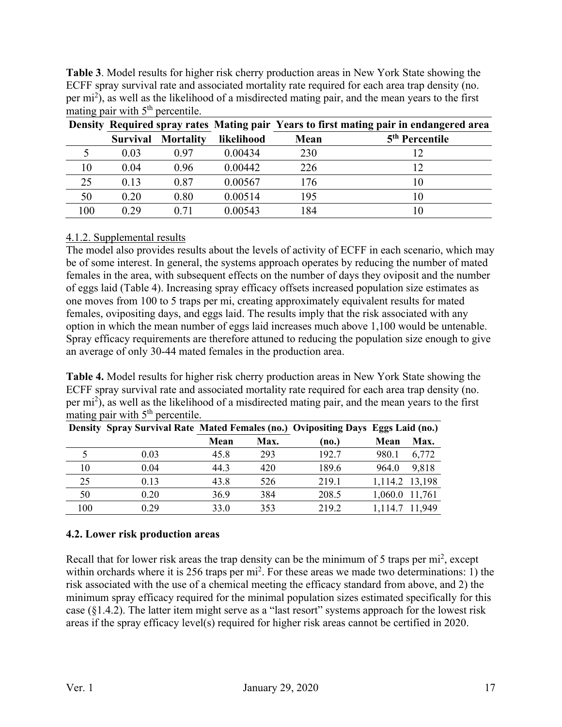**Table 3**. Model results for higher risk cherry production areas in New York State showing the ECFF spray survival rate and associated mortality rate required for each area trap density (no. per mi<sup>2</sup>), as well as the likelihood of a misdirected mating pair, and the mean years to the first mating pair with  $5<sup>th</sup>$  percentile.

|     |                 |                  |            | Density Required spray rates Mating pair Years to first mating pair in endangered area |                            |
|-----|-----------------|------------------|------------|----------------------------------------------------------------------------------------|----------------------------|
|     | <b>Survival</b> | <b>Mortality</b> | likelihood | Mean                                                                                   | 5 <sup>th</sup> Percentile |
|     | 0.03            | 0.97             | 0.00434    | 230                                                                                    |                            |
| 10  | 0.04            | 0.96             | 0.00442    | 226                                                                                    |                            |
| 25  | 0.13            | 0.87             | 0.00567    | 176                                                                                    | 10                         |
| 50  | 0.20            | 0.80             | 0.00514    | 195                                                                                    | 10                         |
| 100 | 0.29            | 0.71             | 0.00543    | 184                                                                                    | l O                        |

## 4.1.2. Supplemental results

The model also provides results about the levels of activity of ECFF in each scenario, which may be of some interest. In general, the systems approach operates by reducing the number of mated females in the area, with subsequent effects on the number of days they oviposit and the number of eggs laid (Table 4). Increasing spray efficacy offsets increased population size estimates as one moves from 100 to 5 traps per mi, creating approximately equivalent results for mated females, ovipositing days, and eggs laid. The results imply that the risk associated with any option in which the mean number of eggs laid increases much above 1,100 would be untenable. Spray efficacy requirements are therefore attuned to reducing the population size enough to give an average of only 30-44 mated females in the production area.

**Table 4.** Model results for higher risk cherry production areas in New York State showing the ECFF spray survival rate and associated mortality rate required for each area trap density (no. per mi<sup>2</sup>), as well as the likelihood of a misdirected mating pair, and the mean years to the first mating pair with  $5<sup>th</sup>$  percentile.

|     |      | Density Spray Survival Rate Mated Females (no.) Ovipositing Days Eggs Laid (no.) |      |       |                |        |
|-----|------|----------------------------------------------------------------------------------|------|-------|----------------|--------|
|     |      | Mean                                                                             | Max. | (no.) | Mean           | Max.   |
|     | 0.03 | 45.8                                                                             | 293  | 192.7 | 980.1          | 6,772  |
| 10  | 0.04 | 44.3                                                                             | 420  | 189.6 | 964.0          | 9,818  |
| 25  | 0.13 | 43.8                                                                             | 526  | 219.1 | 1,114.2 13,198 |        |
| 50  | 0.20 | 36.9                                                                             | 384  | 208.5 | 1,060.0        | 11,761 |
| 100 | 0.29 | 33.0                                                                             | 353  | 219.2 | 1,114.7        | 11,949 |

## **4.2. Lower risk production areas**

Recall that for lower risk areas the trap density can be the minimum of 5 traps per mi<sup>2</sup>, except within orchards where it is 256 traps per  $mi^2$ . For these areas we made two determinations: 1) the risk associated with the use of a chemical meeting the efficacy standard from above, and 2) the minimum spray efficacy required for the minimal population sizes estimated specifically for this case (§1.4.2). The latter item might serve as a "last resort" systems approach for the lowest risk areas if the spray efficacy level(s) required for higher risk areas cannot be certified in 2020.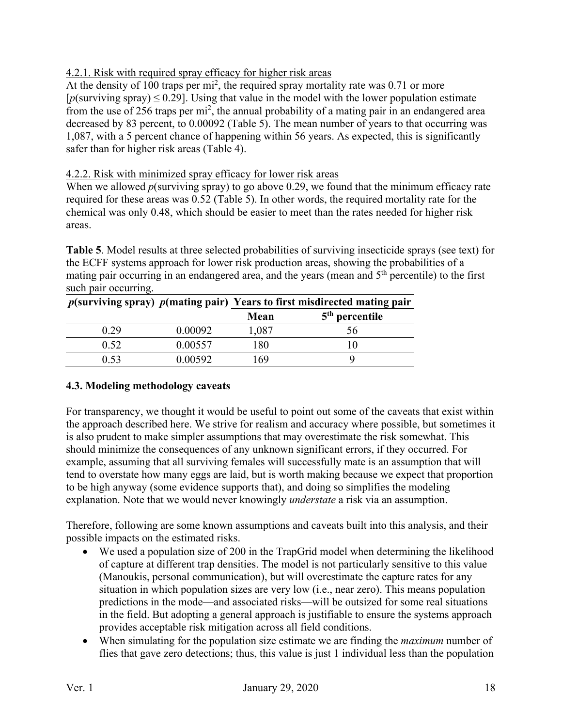## 4.2.1. Risk with required spray efficacy for higher risk areas

At the density of 100 traps per  $mi^2$ , the required spray mortality rate was 0.71 or more  $[p\text{(surviving spray)} \leq 0.29]$ . Using that value in the model with the lower population estimate from the use of 256 traps per mi<sup>2</sup>, the annual probability of a mating pair in an endangered area decreased by 83 percent, to 0.00092 (Table 5). The mean number of years to that occurring was 1,087, with a 5 percent chance of happening within 56 years. As expected, this is significantly safer than for higher risk areas (Table 4).

## 4.2.2. Risk with minimized spray efficacy for lower risk areas

When we allowed *p*(surviving spray) to go above 0.29, we found that the minimum efficacy rate required for these areas was 0.52 (Table 5). In other words, the required mortality rate for the chemical was only 0.48, which should be easier to meet than the rates needed for higher risk areas.

**Table 5**. Model results at three selected probabilities of surviving insecticide sprays (see text) for the ECFF systems approach for lower risk production areas, showing the probabilities of a mating pair occurring in an endangered area, and the years (mean and  $5<sup>th</sup>$  percentile) to the first such pair occurring.

|      |         | $p$ (surviving spray) $p$ (mating pair) Years to first misdirected mating pair |                  |
|------|---------|--------------------------------------------------------------------------------|------------------|
|      |         | Mean                                                                           | $5th$ percentile |
| 0.29 | 0.00092 | 1,087                                                                          | эh               |
| 0.52 | 0.00557 | 180                                                                            |                  |
| 0.53 | 0.00592 | 69                                                                             |                  |

## **4.3. Modeling methodology caveats**

For transparency, we thought it would be useful to point out some of the caveats that exist within the approach described here. We strive for realism and accuracy where possible, but sometimes it is also prudent to make simpler assumptions that may overestimate the risk somewhat. This should minimize the consequences of any unknown significant errors, if they occurred. For example, assuming that all surviving females will successfully mate is an assumption that will tend to overstate how many eggs are laid, but is worth making because we expect that proportion to be high anyway (some evidence supports that), and doing so simplifies the modeling explanation. Note that we would never knowingly *understate* a risk via an assumption.

Therefore, following are some known assumptions and caveats built into this analysis, and their possible impacts on the estimated risks.

- We used a population size of 200 in the TrapGrid model when determining the likelihood of capture at different trap densities. The model is not particularly sensitive to this value (Manoukis, personal communication), but will overestimate the capture rates for any situation in which population sizes are very low (i.e., near zero). This means population predictions in the mode—and associated risks—will be outsized for some real situations in the field. But adopting a general approach is justifiable to ensure the systems approach provides acceptable risk mitigation across all field conditions.
- When simulating for the population size estimate we are finding the *maximum* number of flies that gave zero detections; thus, this value is just 1 individual less than the population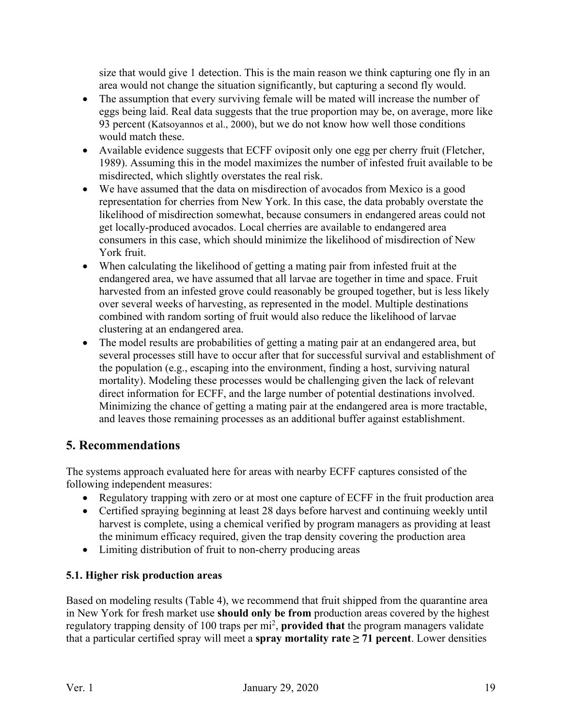size that would give 1 detection. This is the main reason we think capturing one fly in an area would not change the situation significantly, but capturing a second fly would.

- The assumption that every surviving female will be mated will increase the number of eggs being laid. Real data suggests that the true proportion may be, on average, more like 93 percent [\(Katsoyannos et al., 2000\)](#page-21-8), but we do not know how well those conditions would match these.
- Available evidence suggests that ECFF oviposit only one egg per cherry fruit (Fletcher, 1989). Assuming this in the model maximizes the number of infested fruit available to be misdirected, which slightly overstates the real risk.
- We have assumed that the data on misdirection of avocados from Mexico is a good representation for cherries from New York. In this case, the data probably overstate the likelihood of misdirection somewhat, because consumers in endangered areas could not get locally-produced avocados. Local cherries are available to endangered area consumers in this case, which should minimize the likelihood of misdirection of New York fruit.
- When calculating the likelihood of getting a mating pair from infested fruit at the endangered area, we have assumed that all larvae are together in time and space. Fruit harvested from an infested grove could reasonably be grouped together, but is less likely over several weeks of harvesting, as represented in the model. Multiple destinations combined with random sorting of fruit would also reduce the likelihood of larvae clustering at an endangered area.
- The model results are probabilities of getting a mating pair at an endangered area, but several processes still have to occur after that for successful survival and establishment of the population (e.g., escaping into the environment, finding a host, surviving natural mortality). Modeling these processes would be challenging given the lack of relevant direct information for ECFF, and the large number of potential destinations involved. Minimizing the chance of getting a mating pair at the endangered area is more tractable, and leaves those remaining processes as an additional buffer against establishment.

# **5. Recommendations**

The systems approach evaluated here for areas with nearby ECFF captures consisted of the following independent measures:

- Regulatory trapping with zero or at most one capture of ECFF in the fruit production area
- Certified spraying beginning at least 28 days before harvest and continuing weekly until harvest is complete, using a chemical verified by program managers as providing at least the minimum efficacy required, given the trap density covering the production area
- Limiting distribution of fruit to non-cherry producing areas

# **5.1. Higher risk production areas**

Based on modeling results (Table 4), we recommend that fruit shipped from the quarantine area in New York for fresh market use **should only be from** production areas covered by the highest regulatory trapping density of 100 traps per mi<sup>2</sup>, provided that the program managers validate that a particular certified spray will meet a **spray mortality rate**  $\geq 71$  **percent**. Lower densities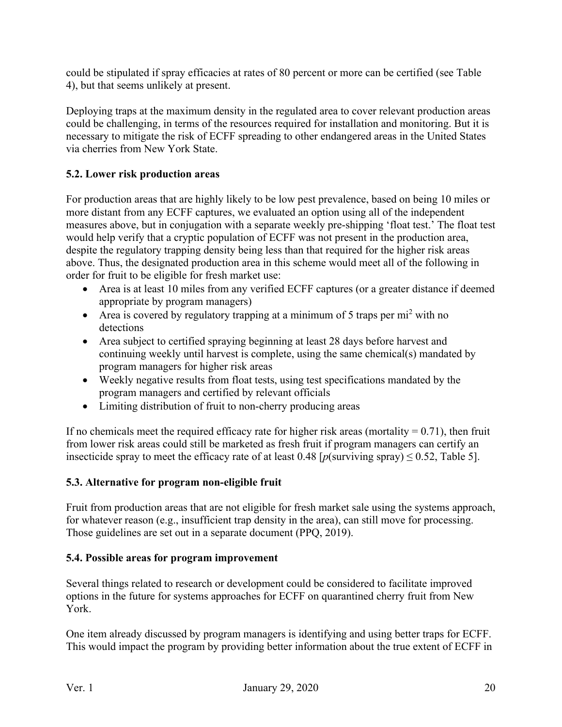could be stipulated if spray efficacies at rates of 80 percent or more can be certified (see Table 4), but that seems unlikely at present.

Deploying traps at the maximum density in the regulated area to cover relevant production areas could be challenging, in terms of the resources required for installation and monitoring. But it is necessary to mitigate the risk of ECFF spreading to other endangered areas in the United States via cherries from New York State.

## **5.2. Lower risk production areas**

For production areas that are highly likely to be low pest prevalence, based on being 10 miles or more distant from any ECFF captures, we evaluated an option using all of the independent measures above, but in conjugation with a separate weekly pre-shipping 'float test.' The float test would help verify that a cryptic population of ECFF was not present in the production area, despite the regulatory trapping density being less than that required for the higher risk areas above. Thus, the designated production area in this scheme would meet all of the following in order for fruit to be eligible for fresh market use:

- Area is at least 10 miles from any verified ECFF captures (or a greater distance if deemed appropriate by program managers)
- Area is covered by regulatory trapping at a minimum of 5 traps per  $mi^2$  with no detections
- Area subject to certified spraying beginning at least 28 days before harvest and continuing weekly until harvest is complete, using the same chemical(s) mandated by program managers for higher risk areas
- Weekly negative results from float tests, using test specifications mandated by the program managers and certified by relevant officials
- Limiting distribution of fruit to non-cherry producing areas

If no chemicals meet the required efficacy rate for higher risk areas (mortality  $= 0.71$ ), then fruit from lower risk areas could still be marketed as fresh fruit if program managers can certify an insecticide spray to meet the efficacy rate of at least  $0.48$  [ $p$ (surviving spray)  $\leq 0.52$ , Table 5].

## **5.3. Alternative for program non-eligible fruit**

Fruit from production areas that are not eligible for fresh market sale using the systems approach, for whatever reason (e.g., insufficient trap density in the area), can still move for processing. Those guidelines are set out in a separate document [\(PPQ, 2019\)](#page-21-12).

## **5.4. Possible areas for program improvement**

Several things related to research or development could be considered to facilitate improved options in the future for systems approaches for ECFF on quarantined cherry fruit from New York.

One item already discussed by program managers is identifying and using better traps for ECFF. This would impact the program by providing better information about the true extent of ECFF in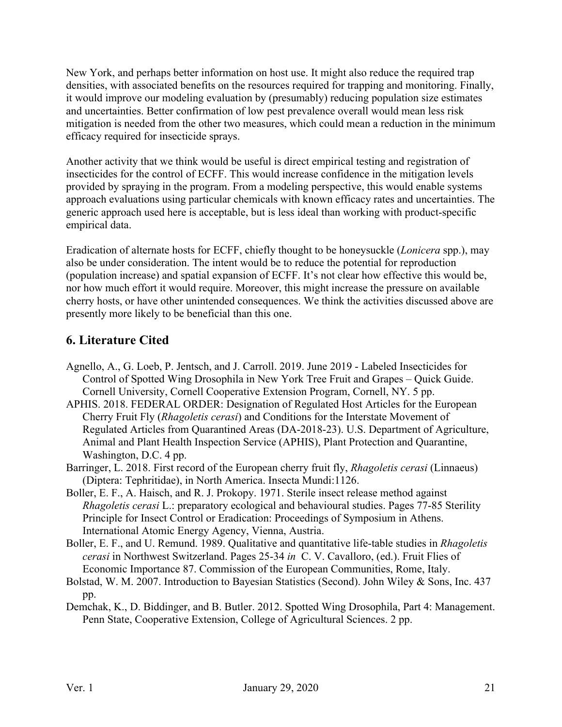New York, and perhaps better information on host use. It might also reduce the required trap densities, with associated benefits on the resources required for trapping and monitoring. Finally, it would improve our modeling evaluation by (presumably) reducing population size estimates and uncertainties. Better confirmation of low pest prevalence overall would mean less risk mitigation is needed from the other two measures, which could mean a reduction in the minimum efficacy required for insecticide sprays.

Another activity that we think would be useful is direct empirical testing and registration of insecticides for the control of ECFF. This would increase confidence in the mitigation levels provided by spraying in the program. From a modeling perspective, this would enable systems approach evaluations using particular chemicals with known efficacy rates and uncertainties. The generic approach used here is acceptable, but is less ideal than working with product-specific empirical data.

Eradication of alternate hosts for ECFF, chiefly thought to be honeysuckle (*Lonicera* spp.), may also be under consideration. The intent would be to reduce the potential for reproduction (population increase) and spatial expansion of ECFF. It's not clear how effective this would be, nor how much effort it would require. Moreover, this might increase the pressure on available cherry hosts, or have other unintended consequences. We think the activities discussed above are presently more likely to be beneficial than this one.

# **6. Literature Cited**

- <span id="page-20-5"></span>Agnello, A., G. Loeb, P. Jentsch, and J. Carroll. 2019. June 2019 - Labeled Insecticides for Control of Spotted Wing Drosophila in New York Tree Fruit and Grapes – Quick Guide. Cornell University, Cornell Cooperative Extension Program, Cornell, NY. 5 pp.
- <span id="page-20-1"></span>APHIS. 2018. FEDERAL ORDER: Designation of Regulated Host Articles for the European Cherry Fruit Fly (*Rhagoletis cerasi*) and Conditions for the Interstate Movement of Regulated Articles from Quarantined Areas (DA-2018-23). U.S. Department of Agriculture, Animal and Plant Health Inspection Service (APHIS), Plant Protection and Quarantine, Washington, D.C. 4 pp.
- <span id="page-20-0"></span>Barringer, L. 2018. First record of the European cherry fruit fly, *Rhagoletis cerasi* (Linnaeus) (Diptera: Tephritidae), in North America. Insecta Mundi:1126.
- <span id="page-20-4"></span>Boller, E. F., A. Haisch, and R. J. Prokopy. 1971. Sterile insect release method against *Rhagoletis cerasi* L.: preparatory ecological and behavioural studies. Pages 77-85 Sterility Principle for Insect Control or Eradication: Proceedings of Symposium in Athens. International Atomic Energy Agency, Vienna, Austria.
- <span id="page-20-3"></span>Boller, E. F., and U. Remund. 1989. Qualitative and quantitative life-table studies in *Rhagoletis cerasi* in Northwest Switzerland. Pages 25-34 *in* C. V. Cavalloro, (ed.). Fruit Flies of Economic Importance 87. Commission of the European Communities, Rome, Italy.
- <span id="page-20-2"></span>Bolstad, W. M. 2007. Introduction to Bayesian Statistics (Second). John Wiley & Sons, Inc. 437 pp.
- <span id="page-20-6"></span>Demchak, K., D. Biddinger, and B. Butler. 2012. Spotted Wing Drosophila, Part 4: Management. Penn State, Cooperative Extension, College of Agricultural Sciences. 2 pp.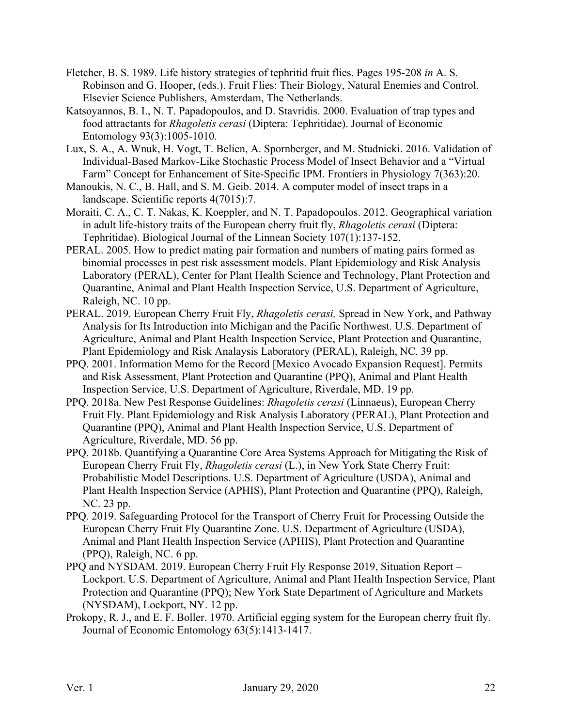- <span id="page-21-6"></span>Fletcher, B. S. 1989. Life history strategies of tephritid fruit flies. Pages 195-208 *in* A. S. Robinson and G. Hooper, (eds.). Fruit Flies: Their Biology, Natural Enemies and Control. Elsevier Science Publishers, Amsterdam, The Netherlands.
- <span id="page-21-8"></span>Katsoyannos, B. I., N. T. Papadopoulos, and D. Stavridis. 2000. Evaluation of trap types and food attractants for *Rhagoletis cerasi* (Diptera: Tephritidae). Journal of Economic Entomology 93(3):1005-1010.
- <span id="page-21-7"></span>Lux, S. A., A. Wnuk, H. Vogt, T. Belien, A. Spornberger, and M. Studnicki. 2016. Validation of Individual-Based Markov-Like Stochastic Process Model of Insect Behavior and a "Virtual Farm" Concept for Enhancement of Site-Specific IPM. Frontiers in Physiology 7(363):20.
- <span id="page-21-5"></span>Manoukis, N. C., B. Hall, and S. M. Geib. 2014. A computer model of insect traps in a landscape. Scientific reports 4(7015):7.
- <span id="page-21-9"></span>Moraiti, C. A., C. T. Nakas, K. Koeppler, and N. T. Papadopoulos. 2012. Geographical variation in adult life-history traits of the European cherry fruit fly, *Rhagoletis cerasi* (Diptera: Tephritidae). Biological Journal of the Linnean Society 107(1):137-152.
- <span id="page-21-4"></span>PERAL. 2005. How to predict mating pair formation and numbers of mating pairs formed as binomial processes in pest risk assessment models. Plant Epidemiology and Risk Analysis Laboratory (PERAL), Center for Plant Health Science and Technology, Plant Protection and Quarantine, Animal and Plant Health Inspection Service, U.S. Department of Agriculture, Raleigh, NC. 10 pp.
- <span id="page-21-3"></span>PERAL. 2019. European Cherry Fruit Fly, *Rhagoletis cerasi,* Spread in New York, and Pathway Analysis for Its Introduction into Michigan and the Pacific Northwest. U.S. Department of Agriculture, Animal and Plant Health Inspection Service, Plant Protection and Quarantine, Plant Epidemiology and Risk Analaysis Laboratory (PERAL), Raleigh, NC. 39 pp.
- <span id="page-21-11"></span>PPQ. 2001. Information Memo for the Record [Mexico Avocado Expansion Request]. Permits and Risk Assessment, Plant Protection and Quarantine (PPQ), Animal and Plant Health Inspection Service, U.S. Department of Agriculture, Riverdale, MD. 19 pp.
- <span id="page-21-2"></span>PPQ. 2018a. New Pest Response Guidelines: *Rhagoletis cerasi* (Linnaeus), European Cherry Fruit Fly. Plant Epidemiology and Risk Analysis Laboratory (PERAL), Plant Protection and Quarantine (PPQ), Animal and Plant Health Inspection Service, U.S. Department of Agriculture, Riverdale, MD. 56 pp.
- <span id="page-21-1"></span>PPQ. 2018b. Quantifying a Quarantine Core Area Systems Approach for Mitigating the Risk of European Cherry Fruit Fly, *Rhagoletis cerasi* (L.), in New York State Cherry Fruit: Probabilistic Model Descriptions. U.S. Department of Agriculture (USDA), Animal and Plant Health Inspection Service (APHIS), Plant Protection and Quarantine (PPQ), Raleigh, NC. 23 pp.
- <span id="page-21-12"></span>PPQ. 2019. Safeguarding Protocol for the Transport of Cherry Fruit for Processing Outside the European Cherry Fruit Fly Quarantine Zone. U.S. Department of Agriculture (USDA), Animal and Plant Health Inspection Service (APHIS), Plant Protection and Quarantine (PPQ), Raleigh, NC. 6 pp.
- <span id="page-21-0"></span>PPQ and NYSDAM. 2019. European Cherry Fruit Fly Response 2019, Situation Report – Lockport. U.S. Department of Agriculture, Animal and Plant Health Inspection Service, Plant Protection and Quarantine (PPQ); New York State Department of Agriculture and Markets (NYSDAM), Lockport, NY. 12 pp.
- <span id="page-21-10"></span>Prokopy, R. J., and E. F. Boller. 1970. Artificial egging system for the European cherry fruit fly. Journal of Economic Entomology 63(5):1413-1417.